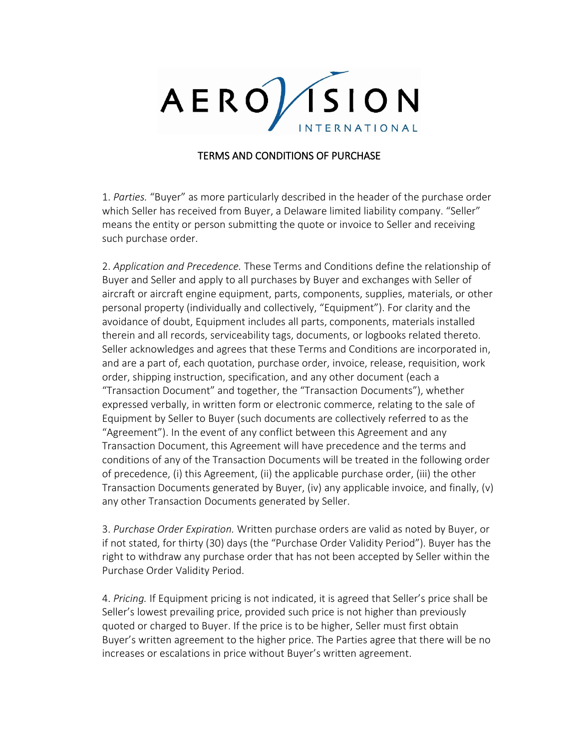

## TERMS AND CONDITIONS OF PURCHASE

1. *Parties.* "Buyer" as more particularly described in the header of the purchase order which Seller has received from Buyer, a Delaware limited liability company. "Seller" means the entity or person submitting the quote or invoice to Seller and receiving such purchase order.

2. *Application and Precedence.* These Terms and Conditions define the relationship of Buyer and Seller and apply to all purchases by Buyer and exchanges with Seller of aircraft or aircraft engine equipment, parts, components, supplies, materials, or other personal property (individually and collectively, "Equipment"). For clarity and the avoidance of doubt, Equipment includes all parts, components, materials installed therein and all records, serviceability tags, documents, or logbooks related thereto. Seller acknowledges and agrees that these Terms and Conditions are incorporated in, and are a part of, each quotation, purchase order, invoice, release, requisition, work order, shipping instruction, specification, and any other document (each a "Transaction Document" and together, the "Transaction Documents"), whether expressed verbally, in written form or electronic commerce, relating to the sale of Equipment by Seller to Buyer (such documents are collectively referred to as the "Agreement"). In the event of any conflict between this Agreement and any Transaction Document, this Agreement will have precedence and the terms and conditions of any of the Transaction Documents will be treated in the following order of precedence, (i) this Agreement, (ii) the applicable purchase order, (iii) the other Transaction Documents generated by Buyer, (iv) any applicable invoice, and finally, (v) any other Transaction Documents generated by Seller.

3. *Purchase Order Expiration.* Written purchase orders are valid as noted by Buyer, or if not stated, for thirty (30) days (the "Purchase Order Validity Period"). Buyer has the right to withdraw any purchase order that has not been accepted by Seller within the Purchase Order Validity Period.

4. *Pricing.* If Equipment pricing is not indicated, it is agreed that Seller's price shall be Seller's lowest prevailing price, provided such price is not higher than previously quoted or charged to Buyer. If the price is to be higher, Seller must first obtain Buyer's written agreement to the higher price. The Parties agree that there will be no increases or escalations in price without Buyer's written agreement.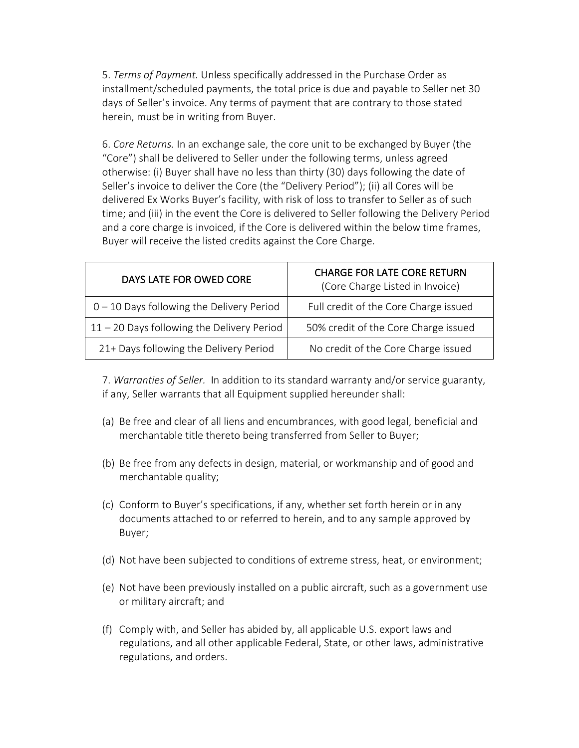5. *Terms of Payment.* Unless specifically addressed in the Purchase Order as installment/scheduled payments, the total price is due and payable to Seller net 30 days of Seller's invoice. Any terms of payment that are contrary to those stated herein, must be in writing from Buyer.

6. *Core Returns.* In an exchange sale, the core unit to be exchanged by Buyer (the "Core") shall be delivered to Seller under the following terms, unless agreed otherwise: (i) Buyer shall have no less than thirty (30) days following the date of Seller's invoice to deliver the Core (the "Delivery Period"); (ii) all Cores will be delivered Ex Works Buyer's facility, with risk of loss to transfer to Seller as of such time; and (iii) in the event the Core is delivered to Seller following the Delivery Period and a core charge is invoiced, if the Core is delivered within the below time frames, Buyer will receive the listed credits against the Core Charge.

| DAYS LATE FOR OWED CORE                      | <b>CHARGE FOR LATE CORE RETURN</b><br>(Core Charge Listed in Invoice) |
|----------------------------------------------|-----------------------------------------------------------------------|
| $0 - 10$ Days following the Delivery Period  | Full credit of the Core Charge issued                                 |
| $11 - 20$ Days following the Delivery Period | 50% credit of the Core Charge issued                                  |
| 21+ Days following the Delivery Period       | No credit of the Core Charge issued                                   |

7. *Warranties of Seller.* In addition to its standard warranty and/or service guaranty, if any, Seller warrants that all Equipment supplied hereunder shall:

- (a) Be free and clear of all liens and encumbrances, with good legal, beneficial and merchantable title thereto being transferred from Seller to Buyer;
- (b) Be free from any defects in design, material, or workmanship and of good and merchantable quality;
- (c) Conform to Buyer's specifications, if any, whether set forth herein or in any documents attached to or referred to herein, and to any sample approved by Buyer;
- (d) Not have been subjected to conditions of extreme stress, heat, or environment;
- (e) Not have been previously installed on a public aircraft, such as a government use or military aircraft; and
- (f) Comply with, and Seller has abided by, all applicable U.S. export laws and regulations, and all other applicable Federal, State, or other laws, administrative regulations, and orders.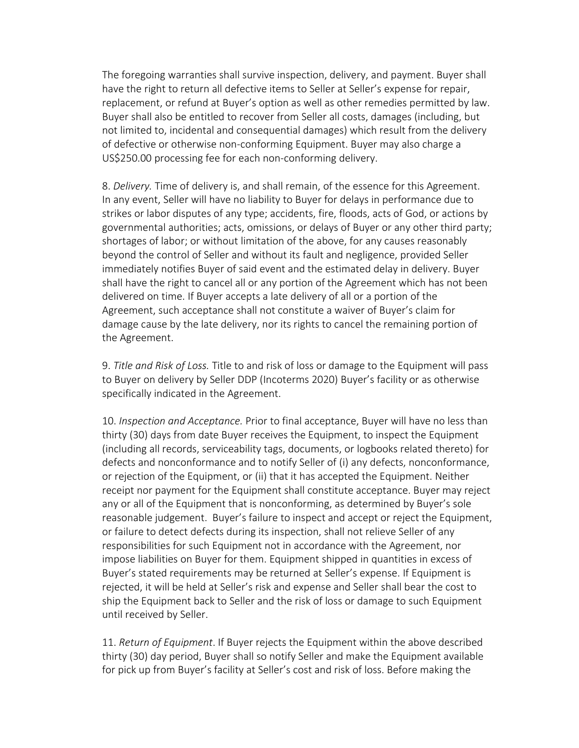The foregoing warranties shall survive inspection, delivery, and payment. Buyer shall have the right to return all defective items to Seller at Seller's expense for repair, replacement, or refund at Buyer's option as well as other remedies permitted by law. Buyer shall also be entitled to recover from Seller all costs, damages (including, but not limited to, incidental and consequential damages) which result from the delivery of defective or otherwise non-conforming Equipment. Buyer may also charge a US\$250.00 processing fee for each non-conforming delivery.

8. *Delivery.* Time of delivery is, and shall remain, of the essence for this Agreement. In any event, Seller will have no liability to Buyer for delays in performance due to strikes or labor disputes of any type; accidents, fire, floods, acts of God, or actions by governmental authorities; acts, omissions, or delays of Buyer or any other third party; shortages of labor; or without limitation of the above, for any causes reasonably beyond the control of Seller and without its fault and negligence, provided Seller immediately notifies Buyer of said event and the estimated delay in delivery. Buyer shall have the right to cancel all or any portion of the Agreement which has not been delivered on time. If Buyer accepts a late delivery of all or a portion of the Agreement, such acceptance shall not constitute a waiver of Buyer's claim for damage cause by the late delivery, nor its rights to cancel the remaining portion of the Agreement.

9. *Title and Risk of Loss.* Title to and risk of loss or damage to the Equipment will pass to Buyer on delivery by Seller DDP (Incoterms 2020) Buyer's facility or as otherwise specifically indicated in the Agreement.

10. *Inspection and Acceptance.* Prior to final acceptance, Buyer will have no less than thirty (30) days from date Buyer receives the Equipment, to inspect the Equipment (including all records, serviceability tags, documents, or logbooks related thereto) for defects and nonconformance and to notify Seller of (i) any defects, nonconformance, or rejection of the Equipment, or (ii) that it has accepted the Equipment. Neither receipt nor payment for the Equipment shall constitute acceptance. Buyer may reject any or all of the Equipment that is nonconforming, as determined by Buyer's sole reasonable judgement. Buyer's failure to inspect and accept or reject the Equipment, or failure to detect defects during its inspection, shall not relieve Seller of any responsibilities for such Equipment not in accordance with the Agreement, nor impose liabilities on Buyer for them. Equipment shipped in quantities in excess of Buyer's stated requirements may be returned at Seller's expense. If Equipment is rejected, it will be held at Seller's risk and expense and Seller shall bear the cost to ship the Equipment back to Seller and the risk of loss or damage to such Equipment until received by Seller.

11. *Return of Equipment*. If Buyer rejects the Equipment within the above described thirty (30) day period, Buyer shall so notify Seller and make the Equipment available for pick up from Buyer's facility at Seller's cost and risk of loss. Before making the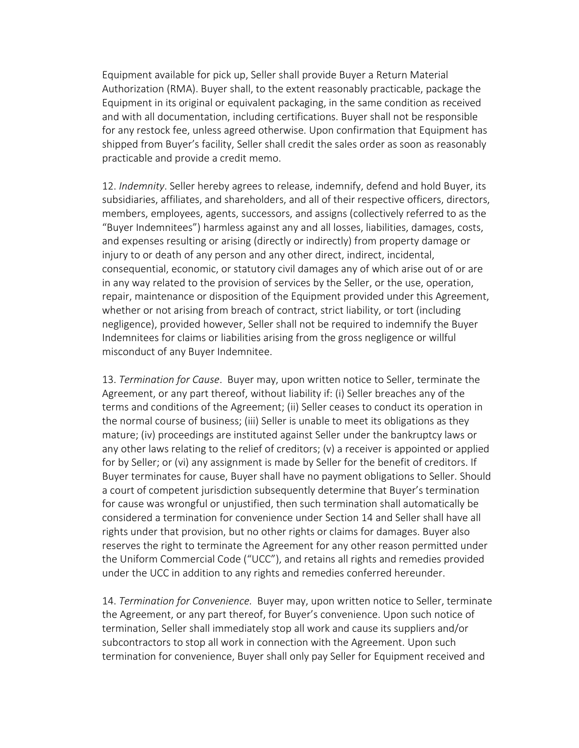Equipment available for pick up, Seller shall provide Buyer a Return Material Authorization (RMA). Buyer shall, to the extent reasonably practicable, package the Equipment in its original or equivalent packaging, in the same condition as received and with all documentation, including certifications. Buyer shall not be responsible for any restock fee, unless agreed otherwise. Upon confirmation that Equipment has shipped from Buyer's facility, Seller shall credit the sales order as soon as reasonably practicable and provide a credit memo.

12. *Indemnity*. Seller hereby agrees to release, indemnify, defend and hold Buyer, its subsidiaries, affiliates, and shareholders, and all of their respective officers, directors, members, employees, agents, successors, and assigns (collectively referred to as the "Buyer Indemnitees") harmless against any and all losses, liabilities, damages, costs, and expenses resulting or arising (directly or indirectly) from property damage or injury to or death of any person and any other direct, indirect, incidental, consequential, economic, or statutory civil damages any of which arise out of or are in any way related to the provision of services by the Seller, or the use, operation, repair, maintenance or disposition of the Equipment provided under this Agreement, whether or not arising from breach of contract, strict liability, or tort (including negligence), provided however, Seller shall not be required to indemnify the Buyer Indemnitees for claims or liabilities arising from the gross negligence or willful misconduct of any Buyer Indemnitee.

13. *Termination for Cause*. Buyer may, upon written notice to Seller, terminate the Agreement, or any part thereof, without liability if: (i) Seller breaches any of the terms and conditions of the Agreement; (ii) Seller ceases to conduct its operation in the normal course of business; (iii) Seller is unable to meet its obligations as they mature; (iv) proceedings are instituted against Seller under the bankruptcy laws or any other laws relating to the relief of creditors; (v) a receiver is appointed or applied for by Seller; or (vi) any assignment is made by Seller for the benefit of creditors. If Buyer terminates for cause, Buyer shall have no payment obligations to Seller. Should a court of competent jurisdiction subsequently determine that Buyer's termination for cause was wrongful or unjustified, then such termination shall automatically be considered a termination for convenience under Section 14 and Seller shall have all rights under that provision, but no other rights or claims for damages. Buyer also reserves the right to terminate the Agreement for any other reason permitted under the Uniform Commercial Code ("UCC"), and retains all rights and remedies provided under the UCC in addition to any rights and remedies conferred hereunder.

14. *Termination for Convenience.* Buyer may, upon written notice to Seller, terminate the Agreement, or any part thereof, for Buyer's convenience. Upon such notice of termination, Seller shall immediately stop all work and cause its suppliers and/or subcontractors to stop all work in connection with the Agreement. Upon such termination for convenience, Buyer shall only pay Seller for Equipment received and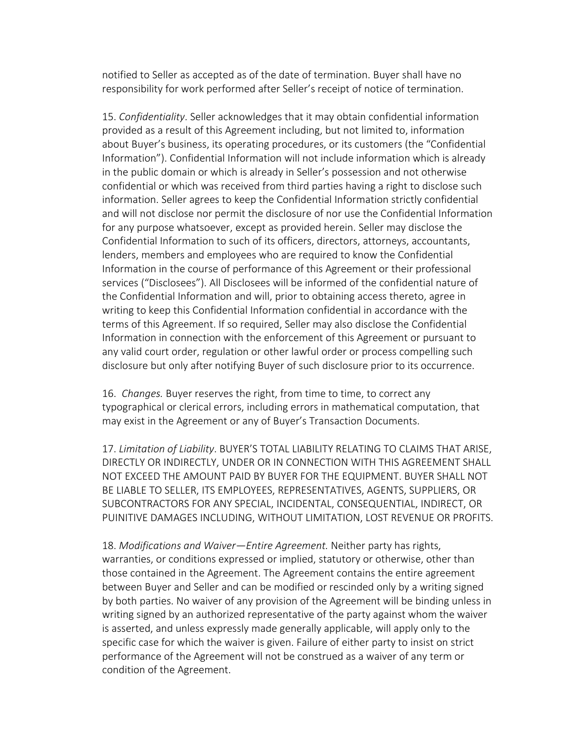notified to Seller as accepted as of the date of termination. Buyer shall have no responsibility for work performed after Seller's receipt of notice of termination.

15. *Confidentiality*. Seller acknowledges that it may obtain confidential information provided as a result of this Agreement including, but not limited to, information about Buyer's business, its operating procedures, or its customers (the "Confidential Information"). Confidential Information will not include information which is already in the public domain or which is already in Seller's possession and not otherwise confidential or which was received from third parties having a right to disclose such information. Seller agrees to keep the Confidential Information strictly confidential and will not disclose nor permit the disclosure of nor use the Confidential Information for any purpose whatsoever, except as provided herein. Seller may disclose the Confidential Information to such of its officers, directors, attorneys, accountants, lenders, members and employees who are required to know the Confidential Information in the course of performance of this Agreement or their professional services ("Disclosees"). All Disclosees will be informed of the confidential nature of the Confidential Information and will, prior to obtaining access thereto, agree in writing to keep this Confidential Information confidential in accordance with the terms of this Agreement. If so required, Seller may also disclose the Confidential Information in connection with the enforcement of this Agreement or pursuant to any valid court order, regulation or other lawful order or process compelling such disclosure but only after notifying Buyer of such disclosure prior to its occurrence.

16. *Changes.* Buyer reserves the right, from time to time, to correct any typographical or clerical errors, including errors in mathematical computation, that may exist in the Agreement or any of Buyer's Transaction Documents.

17. *Limitation of Liability*. BUYER'S TOTAL LIABILITY RELATING TO CLAIMS THAT ARISE, DIRECTLY OR INDIRECTLY, UNDER OR IN CONNECTION WITH THIS AGREEMENT SHALL NOT EXCEED THE AMOUNT PAID BY BUYER FOR THE EQUIPMENT. BUYER SHALL NOT BE LIABLE TO SELLER, ITS EMPLOYEES, REPRESENTATIVES, AGENTS, SUPPLIERS, OR SUBCONTRACTORS FOR ANY SPECIAL, INCIDENTAL, CONSEQUENTIAL, INDIRECT, OR PUINITIVE DAMAGES INCLUDING, WITHOUT LIMITATION, LOST REVENUE OR PROFITS.

18. *Modifications and Waiver—Entire Agreement.* Neither party has rights, warranties, or conditions expressed or implied, statutory or otherwise, other than those contained in the Agreement. The Agreement contains the entire agreement between Buyer and Seller and can be modified or rescinded only by a writing signed by both parties. No waiver of any provision of the Agreement will be binding unless in writing signed by an authorized representative of the party against whom the waiver is asserted, and unless expressly made generally applicable, will apply only to the specific case for which the waiver is given. Failure of either party to insist on strict performance of the Agreement will not be construed as a waiver of any term or condition of the Agreement.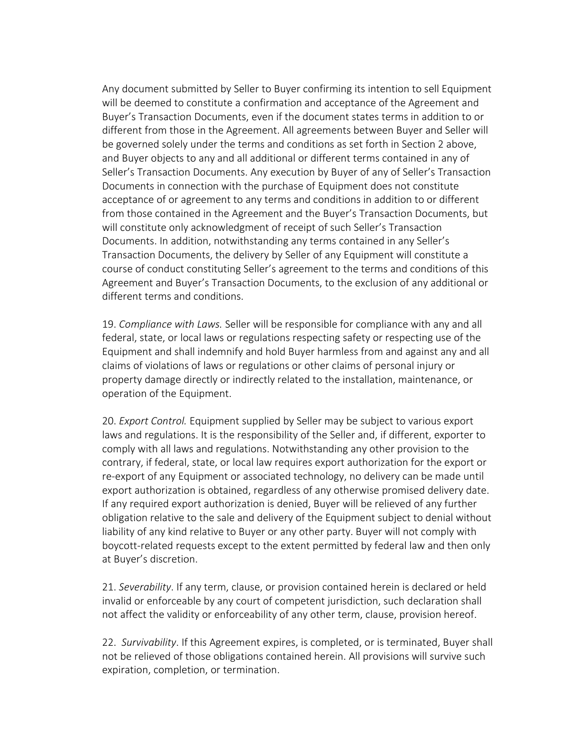Any document submitted by Seller to Buyer confirming its intention to sell Equipment will be deemed to constitute a confirmation and acceptance of the Agreement and Buyer's Transaction Documents, even if the document states terms in addition to or different from those in the Agreement. All agreements between Buyer and Seller will be governed solely under the terms and conditions as set forth in Section 2 above, and Buyer objects to any and all additional or different terms contained in any of Seller's Transaction Documents. Any execution by Buyer of any of Seller's Transaction Documents in connection with the purchase of Equipment does not constitute acceptance of or agreement to any terms and conditions in addition to or different from those contained in the Agreement and the Buyer's Transaction Documents, but will constitute only acknowledgment of receipt of such Seller's Transaction Documents. In addition, notwithstanding any terms contained in any Seller's Transaction Documents, the delivery by Seller of any Equipment will constitute a course of conduct constituting Seller's agreement to the terms and conditions of this Agreement and Buyer's Transaction Documents, to the exclusion of any additional or different terms and conditions.

19. *Compliance with Laws.* Seller will be responsible for compliance with any and all federal, state, or local laws or regulations respecting safety or respecting use of the Equipment and shall indemnify and hold Buyer harmless from and against any and all claims of violations of laws or regulations or other claims of personal injury or property damage directly or indirectly related to the installation, maintenance, or operation of the Equipment.

20. *Export Control.* Equipment supplied by Seller may be subject to various export laws and regulations. It is the responsibility of the Seller and, if different, exporter to comply with all laws and regulations. Notwithstanding any other provision to the contrary, if federal, state, or local law requires export authorization for the export or re-export of any Equipment or associated technology, no delivery can be made until export authorization is obtained, regardless of any otherwise promised delivery date. If any required export authorization is denied, Buyer will be relieved of any further obligation relative to the sale and delivery of the Equipment subject to denial without liability of any kind relative to Buyer or any other party. Buyer will not comply with boycott-related requests except to the extent permitted by federal law and then only at Buyer's discretion.

21. *Severability*. If any term, clause, or provision contained herein is declared or held invalid or enforceable by any court of competent jurisdiction, such declaration shall not affect the validity or enforceability of any other term, clause, provision hereof.

22. *Survivability*. If this Agreement expires, is completed, or is terminated, Buyer shall not be relieved of those obligations contained herein. All provisions will survive such expiration, completion, or termination.